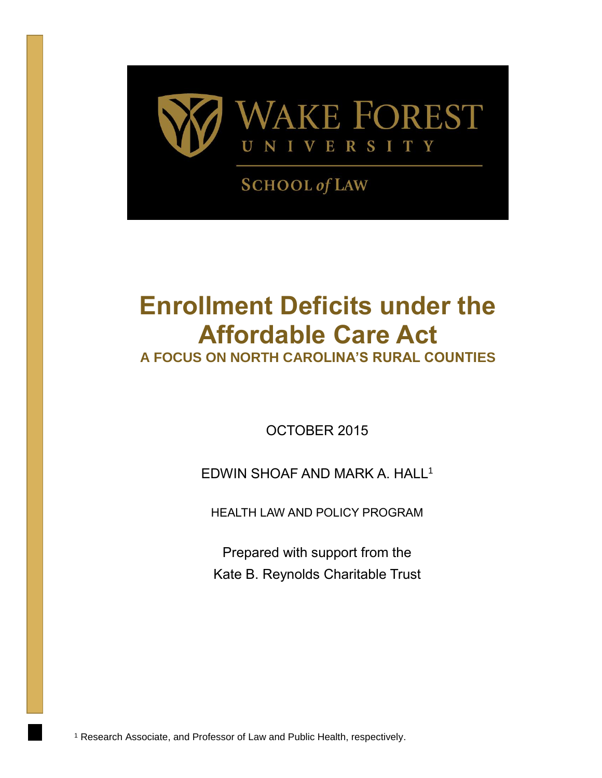

**SCHOOL of LAW** 

# **Enrollment Deficits under the Affordable Care Act**

**A FOCUS ON NORTH CAROLINA'S RURAL COUNTIES**

OCTOBER 2015

# EDWIN SHOAF AND MARK A. HALL<sup>1</sup>

HEALTH LAW AND POLICY PROGRAM

Prepared with support from the Kate B. Reynolds Charitable Trust

<sup>1</sup> Research Associate, and Professor of Law and Public Health, respectively.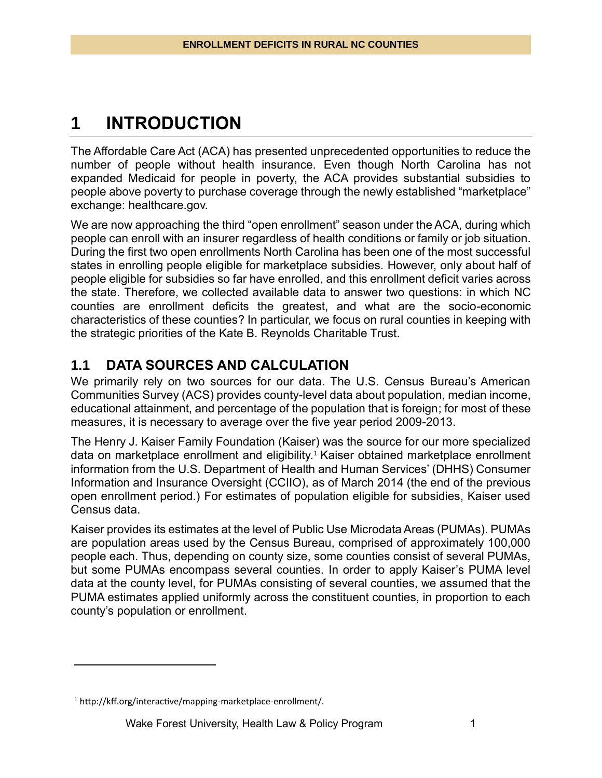# **1 INTRODUCTION**

The Affordable Care Act (ACA) has presented unprecedented opportunities to reduce the number of people without health insurance. Even though North Carolina has not expanded Medicaid for people in poverty, the ACA provides substantial subsidies to people above poverty to purchase coverage through the newly established "marketplace" exchange: healthcare.gov.

We are now approaching the third "open enrollment" season under the ACA, during which people can enroll with an insurer regardless of health conditions or family or job situation. During the first two open enrollments North Carolina has been one of the most successful states in enrolling people eligible for marketplace subsidies. However, only about half of people eligible for subsidies so far have enrolled, and this enrollment deficit varies across the state. Therefore, we collected available data to answer two questions: in which NC counties are enrollment deficits the greatest, and what are the socio-economic characteristics of these counties? In particular, we focus on rural counties in keeping with the strategic priorities of the Kate B. Reynolds Charitable Trust.

### **1.1 DATA SOURCES AND CALCULATION**

We primarily rely on two sources for our data. The U.S. Census Bureau's American Communities Survey (ACS) provides county-level data about population, median income, educational attainment, and percentage of the population that is foreign; for most of these measures, it is necessary to average over the five year period 2009-2013.

The Henry J. Kaiser Family Foundation (Kaiser) was the source for our more specialized data on marketplace enrollment and eligibility.<sup>1</sup> Kaiser obtained marketplace enrollment information from the U.S. Department of Health and Human Services' (DHHS) Consumer Information and Insurance Oversight (CCIIO), as of March 2014 (the end of the previous open enrollment period.) For estimates of population eligible for subsidies, Kaiser used Census data.

Kaiser provides its estimates at the level of Public Use Microdata Areas (PUMAs). PUMAs are population areas used by the Census Bureau, comprised of approximately 100,000 people each. Thus, depending on county size, some counties consist of several PUMAs, but some PUMAs encompass several counties. In order to apply Kaiser's PUMA level data at the county level, for PUMAs consisting of several counties, we assumed that the PUMA estimates applied uniformly across the constituent counties, in proportion to each county's population or enrollment.

 $\overline{a}$ 

<sup>1</sup> http://kff.org/interactive/mapping-marketplace-enrollment/.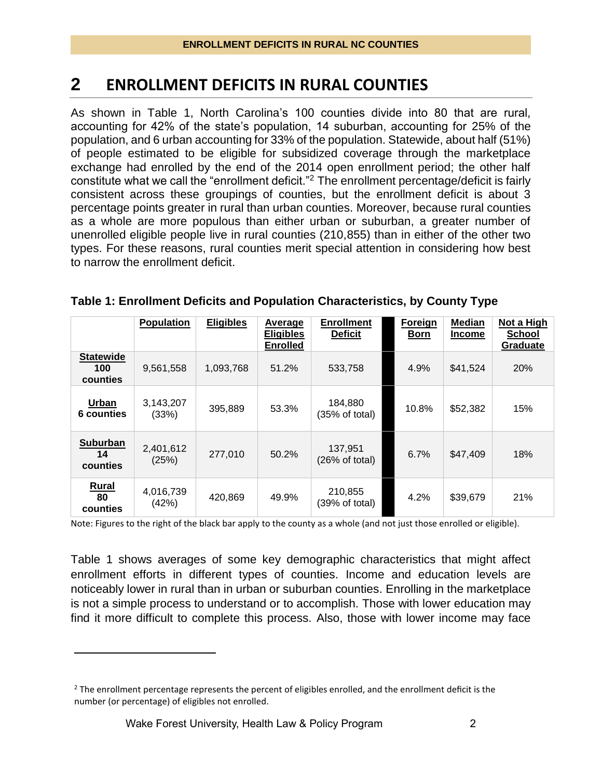# **2 ENROLLMENT DEFICITS IN RURAL COUNTIES**

As shown in Table 1, North Carolina's 100 counties divide into 80 that are rural, accounting for 42% of the state's population, 14 suburban, accounting for 25% of the population, and 6 urban accounting for 33% of the population. Statewide, about half (51%) of people estimated to be eligible for subsidized coverage through the marketplace exchange had enrolled by the end of the 2014 open enrollment period; the other half constitute what we call the "enrollment deficit."<sup>2</sup> The enrollment percentage/deficit is fairly consistent across these groupings of counties, but the enrollment deficit is about 3 percentage points greater in rural than urban counties. Moreover, because rural counties as a whole are more populous than either urban or suburban, a greater number of unenrolled eligible people live in rural counties (210,855) than in either of the other two types. For these reasons, rural counties merit special attention in considering how best to narrow the enrollment deficit.

|                                     | <b>Population</b>  | <b>Eligibles</b> | Average<br><b>Eligibles</b><br><b>Enrolled</b> | <b>Enrollment</b><br><b>Deficit</b> | Foreign<br><b>Born</b> | Median<br><b>Income</b> | Not a High<br><b>School</b><br>Graduate |
|-------------------------------------|--------------------|------------------|------------------------------------------------|-------------------------------------|------------------------|-------------------------|-----------------------------------------|
| <b>Statewide</b><br>100<br>counties | 9,561,558          | 1,093,768        | 51.2%                                          | 533,758                             | 4.9%                   | \$41,524                | 20%                                     |
| <b>Urban</b><br>6 counties          | 3,143,207<br>(33%) | 395,889          | 53.3%                                          | 184,880<br>(35% of total)           | 10.8%                  | \$52,382                | 15%                                     |
| <b>Suburban</b><br>14<br>counties   | 2,401,612<br>(25%) | 277,010          | 50.2%                                          | 137,951<br>(26% of total)           | 6.7%                   | \$47,409                | 18%                                     |
| <b>Rural</b><br>80<br>counties      | 4,016,739<br>(42%) | 420,869          | 49.9%                                          | 210,855<br>(39% of total)           | 4.2%                   | \$39,679                | 21%                                     |

#### **Table 1: Enrollment Deficits and Population Characteristics, by County Type**

Note: Figures to the right of the black bar apply to the county as a whole (and not just those enrolled or eligible).

Table 1 shows averages of some key demographic characteristics that might affect enrollment efforts in different types of counties. Income and education levels are noticeably lower in rural than in urban or suburban counties. Enrolling in the marketplace is not a simple process to understand or to accomplish. Those with lower education may find it more difficult to complete this process. Also, those with lower income may face

 $\overline{a}$ 

 $<sup>2</sup>$  The enrollment percentage represents the percent of eligibles enrolled, and the enrollment deficit is the</sup> number (or percentage) of eligibles not enrolled.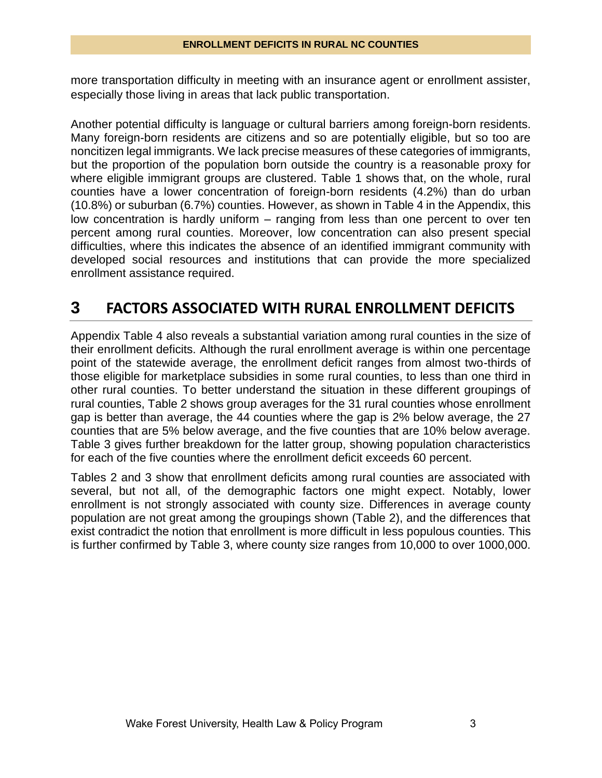more transportation difficulty in meeting with an insurance agent or enrollment assister, especially those living in areas that lack public transportation.

Another potential difficulty is language or cultural barriers among foreign-born residents. Many foreign-born residents are citizens and so are potentially eligible, but so too are noncitizen legal immigrants. We lack precise measures of these categories of immigrants, but the proportion of the population born outside the country is a reasonable proxy for where eligible immigrant groups are clustered. Table 1 shows that, on the whole, rural counties have a lower concentration of foreign-born residents (4.2%) than do urban (10.8%) or suburban (6.7%) counties. However, as shown in Table 4 in the Appendix, this low concentration is hardly uniform – ranging from less than one percent to over ten percent among rural counties. Moreover, low concentration can also present special difficulties, where this indicates the absence of an identified immigrant community with developed social resources and institutions that can provide the more specialized enrollment assistance required.

# **3 FACTORS ASSOCIATED WITH RURAL ENROLLMENT DEFICITS**

Appendix Table 4 also reveals a substantial variation among rural counties in the size of their enrollment deficits. Although the rural enrollment average is within one percentage point of the statewide average, the enrollment deficit ranges from almost two-thirds of those eligible for marketplace subsidies in some rural counties, to less than one third in other rural counties. To better understand the situation in these different groupings of rural counties, Table 2 shows group averages for the 31 rural counties whose enrollment gap is better than average, the 44 counties where the gap is 2% below average, the 27 counties that are 5% below average, and the five counties that are 10% below average. Table 3 gives further breakdown for the latter group, showing population characteristics for each of the five counties where the enrollment deficit exceeds 60 percent.

Tables 2 and 3 show that enrollment deficits among rural counties are associated with several, but not all, of the demographic factors one might expect. Notably, lower enrollment is not strongly associated with county size. Differences in average county population are not great among the groupings shown (Table 2), and the differences that exist contradict the notion that enrollment is more difficult in less populous counties. This is further confirmed by Table 3, where county size ranges from 10,000 to over 1000,000.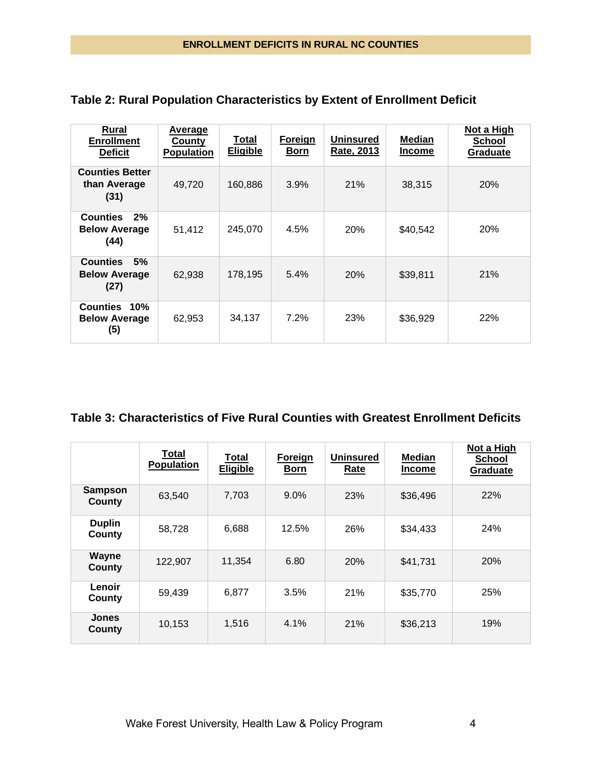| <u>Rural</u><br><b>Enrollment</b><br><b>Deficit</b>   | <u>Average</u><br><b>County</b><br><b>Population</b> | Total<br><b>Eligible</b> | <b>Foreign</b><br>Born | <b>Uninsured</b><br>Rate, 2013 | Median<br><b>Income</b> | Not a High<br>School<br>Graduate |
|-------------------------------------------------------|------------------------------------------------------|--------------------------|------------------------|--------------------------------|-------------------------|----------------------------------|
| <b>Counties Better</b><br>than Average<br>(31)        | 49.720                                               | 160,886                  | 3.9%                   | 21%                            | 38,315                  | <b>20%</b>                       |
| <b>Counties</b><br>2%<br><b>Below Average</b><br>(44) | 51,412                                               | 245,070                  | 4.5%                   | <b>20%</b>                     | \$40,542                | 20%                              |
| 5%<br><b>Counties</b><br><b>Below Average</b><br>(27) | 62,938                                               | 178,195                  | 5.4%                   | 20%                            | \$39,811                | 21%                              |
| Counties 10%<br><b>Below Average</b><br>(5)           | 62,953                                               | 34,137                   | 7.2%                   | 23%                            | \$36,929                | 22%                              |

#### **Table 2: Rural Population Characteristics by Extent of Enrollment Deficit**

#### **Table 3: Characteristics of Five Rural Counties with Greatest Enrollment Deficits**

|                          | Total<br>Population | Total<br><b>Eligible</b> | Foreign<br><b>Born</b> | <b>Uninsured</b><br>Rate | <b>Median</b><br><b>Income</b> | Not a High<br><b>School</b><br>Graduate |
|--------------------------|---------------------|--------------------------|------------------------|--------------------------|--------------------------------|-----------------------------------------|
| <b>Sampson</b><br>County | 63,540              | 7,703                    | 9.0%                   | 23%                      | \$36,496                       | 22%                                     |
| <b>Duplin</b><br>County  | 58,728              | 6,688                    | 12.5%                  | 26%                      | \$34,433                       | 24%                                     |
| <b>Wayne</b><br>County   | 122,907             | 11,354                   | 6.80                   | 20%                      | \$41,731                       | 20%                                     |
| Lenoir<br>County         | 59,439              | 6,877                    | 3.5%                   | 21%                      | \$35,770                       | 25%                                     |
| <b>Jones</b><br>County   | 10,153              | 1,516                    | 4.1%                   | 21%                      | \$36,213                       | 19%                                     |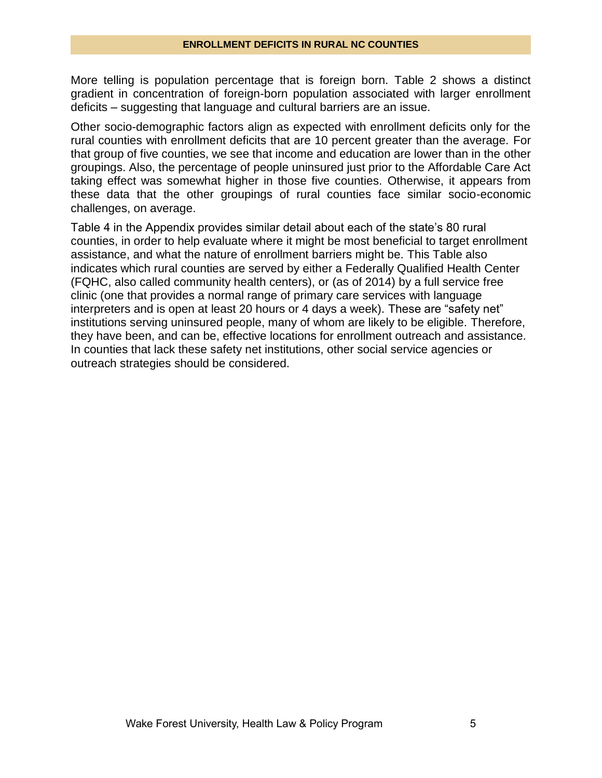More telling is population percentage that is foreign born. Table 2 shows a distinct gradient in concentration of foreign-born population associated with larger enrollment deficits – suggesting that language and cultural barriers are an issue.

Other socio-demographic factors align as expected with enrollment deficits only for the rural counties with enrollment deficits that are 10 percent greater than the average. For that group of five counties, we see that income and education are lower than in the other groupings. Also, the percentage of people uninsured just prior to the Affordable Care Act taking effect was somewhat higher in those five counties. Otherwise, it appears from these data that the other groupings of rural counties face similar socio-economic challenges, on average.

Table 4 in the Appendix provides similar detail about each of the state's 80 rural counties, in order to help evaluate where it might be most beneficial to target enrollment assistance, and what the nature of enrollment barriers might be. This Table also indicates which rural counties are served by either a Federally Qualified Health Center (FQHC, also called community health centers), or (as of 2014) by a full service free clinic (one that provides a normal range of primary care services with language interpreters and is open at least 20 hours or 4 days a week). These are "safety net" institutions serving uninsured people, many of whom are likely to be eligible. Therefore, they have been, and can be, effective locations for enrollment outreach and assistance. In counties that lack these safety net institutions, other social service agencies or outreach strategies should be considered.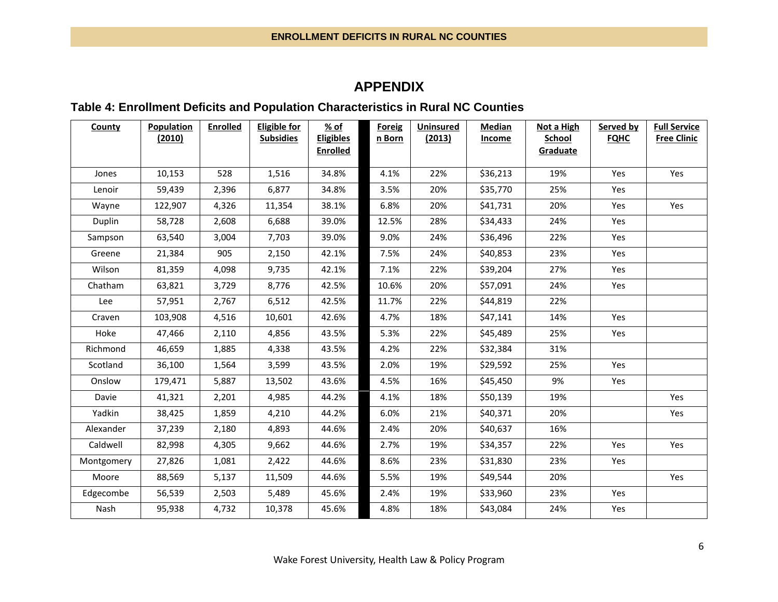#### **APPENDIX**

#### **Table 4: Enrollment Deficits and Population Characteristics in Rural NC Counties**

| County     | Population | <b>Enrolled</b> | <b>Eligible for</b> | % of                                | <b>Foreig</b> | <b>Uninsured</b> | <b>Median</b> | Not a High                | Served by   | <b>Full Service</b> |
|------------|------------|-----------------|---------------------|-------------------------------------|---------------|------------------|---------------|---------------------------|-------------|---------------------|
|            | (2010)     |                 | <b>Subsidies</b>    | <b>Eligibles</b><br><b>Enrolled</b> | n Born        | (2013)           | <b>Income</b> | <b>School</b><br>Graduate | <b>FQHC</b> | <b>Free Clinic</b>  |
|            |            |                 |                     |                                     |               |                  |               |                           |             |                     |
| Jones      | 10,153     | 528             | 1,516               | 34.8%                               | 4.1%          | 22%              | \$36,213      | 19%                       | Yes         | Yes                 |
| Lenoir     | 59,439     | 2,396           | 6,877               | 34.8%                               | 3.5%          | 20%              | \$35,770      | 25%                       | Yes         |                     |
| Wayne      | 122,907    | 4,326           | 11,354              | 38.1%                               | 6.8%          | 20%              | \$41,731      | 20%                       | Yes         | Yes                 |
| Duplin     | 58,728     | 2,608           | 6,688               | 39.0%                               | 12.5%         | 28%              | \$34,433      | 24%                       | Yes         |                     |
| Sampson    | 63,540     | 3,004           | 7,703               | 39.0%                               | 9.0%          | 24%              | \$36,496      | 22%                       | Yes         |                     |
| Greene     | 21,384     | 905             | 2,150               | 42.1%                               | 7.5%          | 24%              | \$40,853      | 23%                       | Yes         |                     |
| Wilson     | 81,359     | 4,098           | 9,735               | 42.1%                               | 7.1%          | 22%              | \$39,204      | 27%                       | Yes         |                     |
| Chatham    | 63,821     | 3,729           | 8,776               | 42.5%                               | 10.6%         | 20%              | \$57,091      | 24%                       | Yes         |                     |
| Lee        | 57,951     | 2,767           | 6,512               | 42.5%                               | 11.7%         | 22%              | \$44,819      | 22%                       |             |                     |
| Craven     | 103,908    | 4,516           | 10,601              | 42.6%                               | 4.7%          | 18%              | \$47,141      | 14%                       | Yes         |                     |
| Hoke       | 47,466     | 2,110           | 4,856               | 43.5%                               | 5.3%          | 22%              | \$45,489      | 25%                       | Yes         |                     |
| Richmond   | 46,659     | 1,885           | 4,338               | 43.5%                               | 4.2%          | 22%              | \$32,384      | 31%                       |             |                     |
| Scotland   | 36,100     | 1,564           | 3,599               | 43.5%                               | 2.0%          | 19%              | \$29,592      | 25%                       | Yes         |                     |
| Onslow     | 179,471    | 5,887           | 13,502              | 43.6%                               | 4.5%          | 16%              | \$45,450      | 9%                        | Yes         |                     |
| Davie      | 41,321     | 2,201           | 4,985               | 44.2%                               | 4.1%          | 18%              | \$50,139      | 19%                       |             | Yes                 |
| Yadkin     | 38,425     | 1,859           | 4,210               | 44.2%                               | 6.0%          | 21%              | \$40,371      | 20%                       |             | Yes                 |
| Alexander  | 37,239     | 2,180           | 4,893               | 44.6%                               | 2.4%          | 20%              | \$40,637      | 16%                       |             |                     |
| Caldwell   | 82,998     | 4,305           | 9,662               | 44.6%                               | 2.7%          | 19%              | \$34,357      | 22%                       | Yes         | Yes                 |
| Montgomery | 27,826     | 1,081           | 2,422               | 44.6%                               | 8.6%          | 23%              | \$31,830      | 23%                       | Yes         |                     |
| Moore      | 88,569     | 5,137           | 11,509              | 44.6%                               | 5.5%          | 19%              | \$49,544      | 20%                       |             | Yes                 |
| Edgecombe  | 56,539     | 2,503           | 5,489               | 45.6%                               | 2.4%          | 19%              | \$33,960      | 23%                       | Yes         |                     |
| Nash       | 95,938     | 4,732           | 10,378              | 45.6%                               | 4.8%          | 18%              | \$43,084      | 24%                       | Yes         |                     |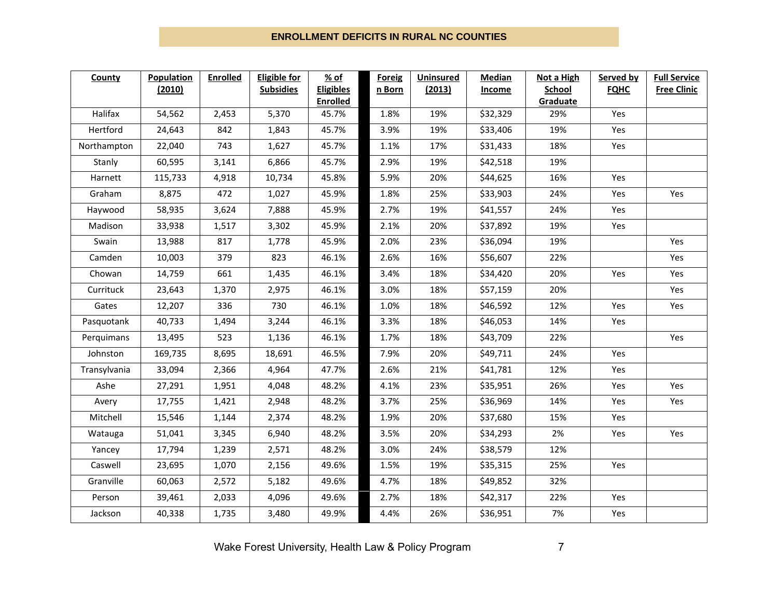#### **ENROLLMENT DEFICITS IN RURAL NC COUNTIES**

| County       | <b>Population</b> | <b>Enrolled</b> | <b>Eligible for</b> | % of                     | <b>Foreig</b> | <b>Uninsured</b> | <b>Median</b> | Not a High      | Served by   | <b>Full Service</b> |
|--------------|-------------------|-----------------|---------------------|--------------------------|---------------|------------------|---------------|-----------------|-------------|---------------------|
|              | (2010)            |                 | <b>Subsidies</b>    | <b>Eligibles</b>         | n Born        | (2013)           | <b>Income</b> | <b>School</b>   | <b>FQHC</b> | <b>Free Clinic</b>  |
| Halifax      | 54,562            | 2,453           | 5,370               | <b>Enrolled</b><br>45.7% | 1.8%          | 19%              | \$32,329      | Graduate<br>29% | Yes         |                     |
| Hertford     | 24,643            | 842             | 1,843               | 45.7%                    | 3.9%          | 19%              | \$33,406      | 19%             | Yes         |                     |
|              | 22,040            | 743             | 1,627               | 45.7%                    | 1.1%          | 17%              | \$31,433      | 18%             | Yes         |                     |
| Northampton  |                   |                 |                     |                          |               |                  |               |                 |             |                     |
| Stanly       | 60,595            | 3,141           | 6,866               | 45.7%                    | 2.9%          | 19%              | \$42,518      | 19%             |             |                     |
| Harnett      | 115,733           | 4,918           | 10,734              | 45.8%                    | 5.9%          | 20%              | \$44,625      | 16%             | Yes         |                     |
| Graham       | 8,875             | 472             | 1,027               | 45.9%                    | 1.8%          | 25%              | \$33,903      | 24%             | Yes         | Yes                 |
| Haywood      | 58,935            | 3,624           | 7,888               | 45.9%                    | 2.7%          | 19%              | \$41,557      | 24%             | Yes         |                     |
| Madison      | 33,938            | 1,517           | 3,302               | 45.9%                    | 2.1%          | 20%              | \$37,892      | 19%             | Yes         |                     |
| Swain        | 13,988            | 817             | 1,778               | 45.9%                    | 2.0%          | 23%              | \$36,094      | 19%             |             | Yes                 |
| Camden       | 10,003            | 379             | 823                 | 46.1%                    | 2.6%          | 16%              | \$56,607      | 22%             |             | Yes                 |
| Chowan       | 14,759            | 661             | 1,435               | 46.1%                    | 3.4%          | 18%              | \$34,420      | 20%             | Yes         | Yes                 |
| Currituck    | 23,643            | 1,370           | 2,975               | 46.1%                    | 3.0%          | 18%              | \$57,159      | 20%             |             | Yes                 |
| Gates        | 12,207            | 336             | 730                 | 46.1%                    | 1.0%          | 18%              | \$46,592      | 12%             | Yes         | Yes                 |
| Pasquotank   | 40,733            | 1,494           | 3,244               | 46.1%                    | 3.3%          | 18%              | \$46,053      | 14%             | Yes         |                     |
| Perquimans   | 13,495            | 523             | 1,136               | 46.1%                    | 1.7%          | 18%              | \$43,709      | 22%             |             | Yes                 |
| Johnston     | 169,735           | 8,695           | 18,691              | 46.5%                    | 7.9%          | 20%              | \$49,711      | 24%             | Yes         |                     |
| Transylvania | 33,094            | 2,366           | 4,964               | 47.7%                    | 2.6%          | 21%              | \$41,781      | 12%             | Yes         |                     |
| Ashe         | 27,291            | 1,951           | 4,048               | 48.2%                    | 4.1%          | 23%              | \$35,951      | 26%             | Yes         | Yes                 |
| Avery        | 17,755            | 1,421           | 2,948               | 48.2%                    | 3.7%          | 25%              | \$36,969      | 14%             | Yes         | Yes                 |
| Mitchell     | 15,546            | 1,144           | 2,374               | 48.2%                    | 1.9%          | 20%              | \$37,680      | 15%             | Yes         |                     |
| Watauga      | 51,041            | 3,345           | 6,940               | 48.2%                    | 3.5%          | 20%              | \$34,293      | 2%              | Yes         | Yes                 |
| Yancey       | 17,794            | 1,239           | 2,571               | 48.2%                    | 3.0%          | 24%              | \$38,579      | 12%             |             |                     |
| Caswell      | 23,695            | 1,070           | 2,156               | 49.6%                    | 1.5%          | 19%              | \$35,315      | 25%             | Yes         |                     |
| Granville    | 60,063            | 2,572           | 5,182               | 49.6%                    | 4.7%          | 18%              | \$49,852      | 32%             |             |                     |
| Person       | 39,461            | 2,033           | 4,096               | 49.6%                    | 2.7%          | 18%              | \$42,317      | 22%             | Yes         |                     |
| Jackson      | 40,338            | 1,735           | 3,480               | 49.9%                    | 4.4%          | 26%              | \$36,951      | 7%              | Yes         |                     |

Wake Forest University, Health Law & Policy Program 7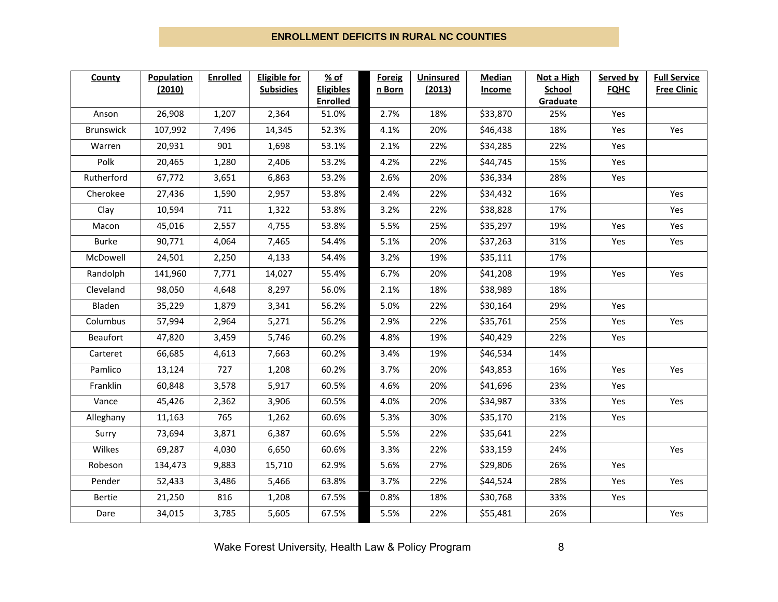#### **ENROLLMENT DEFICITS IN RURAL NC COUNTIES**

| County        | <b>Population</b> | Enrolled | <b>Eligible for</b> | % of                     | Foreig | <b>Uninsured</b> | <b>Median</b> | Not a High      | Served by   | <b>Full Service</b> |
|---------------|-------------------|----------|---------------------|--------------------------|--------|------------------|---------------|-----------------|-------------|---------------------|
|               | (2010)            |          | <b>Subsidies</b>    | <b>Eligibles</b>         | n Born | (2013)           | <b>Income</b> | School          | <b>FQHC</b> | <b>Free Clinic</b>  |
| Anson         | 26,908            | 1,207    | 2,364               | <b>Enrolled</b><br>51.0% | 2.7%   | 18%              | \$33,870      | Graduate<br>25% | Yes         |                     |
|               |                   |          |                     |                          |        |                  |               |                 |             |                     |
| Brunswick     | 107,992           | 7,496    | 14,345              | 52.3%                    | 4.1%   | 20%              | \$46,438      | 18%             | Yes         | Yes                 |
| Warren        | 20,931            | 901      | 1,698               | 53.1%                    | 2.1%   | 22%              | \$34,285      | 22%             | Yes         |                     |
| Polk          | 20,465            | 1,280    | 2,406               | 53.2%                    | 4.2%   | 22%              | \$44,745      | 15%             | Yes         |                     |
| Rutherford    | 67,772            | 3,651    | 6,863               | 53.2%                    | 2.6%   | 20%              | \$36,334      | 28%             | Yes         |                     |
| Cherokee      | 27,436            | 1,590    | 2,957               | 53.8%                    | 2.4%   | 22%              | \$34,432      | 16%             |             | Yes                 |
| Clay          | 10,594            | 711      | 1,322               | 53.8%                    | 3.2%   | 22%              | \$38,828      | 17%             |             | Yes                 |
| Macon         | 45,016            | 2,557    | 4,755               | 53.8%                    | 5.5%   | 25%              | \$35,297      | 19%             | Yes         | Yes                 |
| <b>Burke</b>  | 90,771            | 4,064    | 7,465               | 54.4%                    | 5.1%   | 20%              | \$37,263      | 31%             | Yes         | Yes                 |
| McDowell      | 24,501            | 2,250    | 4,133               | 54.4%                    | 3.2%   | 19%              | \$35,111      | 17%             |             |                     |
| Randolph      | 141,960           | 7,771    | 14,027              | 55.4%                    | 6.7%   | 20%              | \$41,208      | 19%             | Yes         | Yes                 |
| Cleveland     | 98,050            | 4,648    | 8,297               | 56.0%                    | 2.1%   | 18%              | \$38,989      | 18%             |             |                     |
| Bladen        | 35,229            | 1,879    | 3,341               | 56.2%                    | 5.0%   | 22%              | \$30,164      | 29%             | Yes         |                     |
| Columbus      | 57,994            | 2,964    | 5,271               | 56.2%                    | 2.9%   | 22%              | \$35,761      | 25%             | Yes         | Yes                 |
| Beaufort      | 47,820            | 3,459    | 5,746               | 60.2%                    | 4.8%   | 19%              | \$40,429      | 22%             | Yes         |                     |
| Carteret      | 66,685            | 4,613    | 7,663               | 60.2%                    | 3.4%   | 19%              | \$46,534      | 14%             |             |                     |
| Pamlico       | 13,124            | 727      | 1,208               | 60.2%                    | 3.7%   | 20%              | \$43,853      | 16%             | Yes         | Yes                 |
| Franklin      | 60,848            | 3,578    | 5,917               | 60.5%                    | 4.6%   | 20%              | \$41,696      | 23%             | Yes         |                     |
| Vance         | 45,426            | 2,362    | 3,906               | 60.5%                    | 4.0%   | 20%              | \$34,987      | 33%             | Yes         | Yes                 |
| Alleghany     | 11,163            | 765      | 1,262               | 60.6%                    | 5.3%   | 30%              | \$35,170      | 21%             | Yes         |                     |
| Surry         | 73,694            | 3,871    | 6,387               | 60.6%                    | 5.5%   | 22%              | \$35,641      | 22%             |             |                     |
| Wilkes        | 69,287            | 4,030    | 6,650               | 60.6%                    | 3.3%   | 22%              | \$33,159      | 24%             |             | Yes                 |
| Robeson       | 134,473           | 9,883    | 15,710              | 62.9%                    | 5.6%   | 27%              | \$29,806      | 26%             | Yes         |                     |
| Pender        | 52,433            | 3,486    | 5,466               | 63.8%                    | 3.7%   | 22%              | \$44,524      | 28%             | Yes         | Yes                 |
| <b>Bertie</b> | 21,250            | 816      | 1,208               | 67.5%                    | 0.8%   | 18%              | \$30,768      | 33%             | Yes         |                     |
| Dare          | 34,015            | 3,785    | 5,605               | 67.5%                    | 5.5%   | 22%              | \$55,481      | 26%             |             | Yes                 |

Wake Forest University, Health Law & Policy Program 8